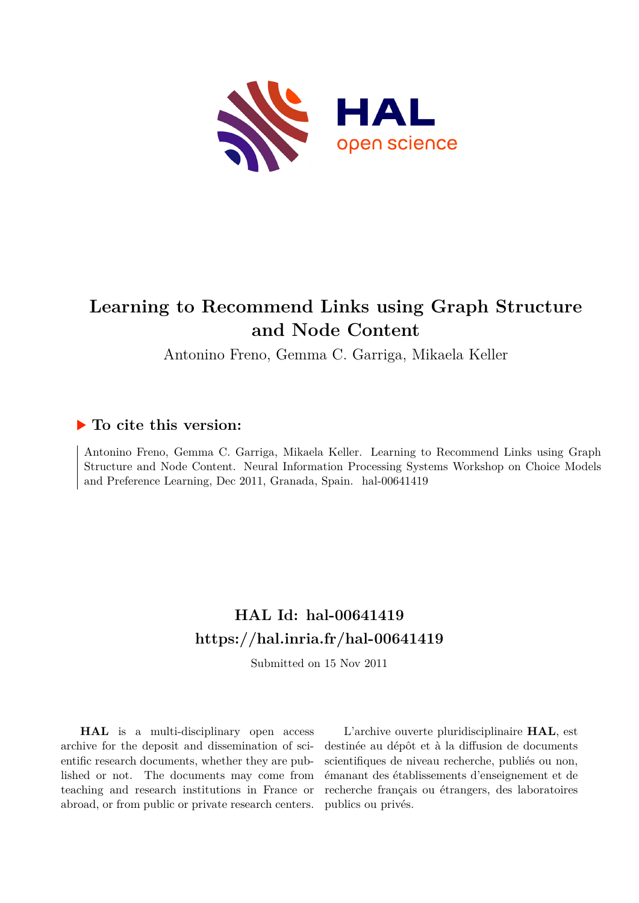

# **Learning to Recommend Links using Graph Structure and Node Content**

Antonino Freno, Gemma C. Garriga, Mikaela Keller

# **To cite this version:**

Antonino Freno, Gemma C. Garriga, Mikaela Keller. Learning to Recommend Links using Graph Structure and Node Content. Neural Information Processing Systems Workshop on Choice Models and Preference Learning, Dec 2011, Granada, Spain. hal-00641419

# **HAL Id: hal-00641419 <https://hal.inria.fr/hal-00641419>**

Submitted on 15 Nov 2011

**HAL** is a multi-disciplinary open access archive for the deposit and dissemination of scientific research documents, whether they are published or not. The documents may come from teaching and research institutions in France or abroad, or from public or private research centers.

L'archive ouverte pluridisciplinaire **HAL**, est destinée au dépôt et à la diffusion de documents scientifiques de niveau recherche, publiés ou non, émanant des établissements d'enseignement et de recherche français ou étrangers, des laboratoires publics ou privés.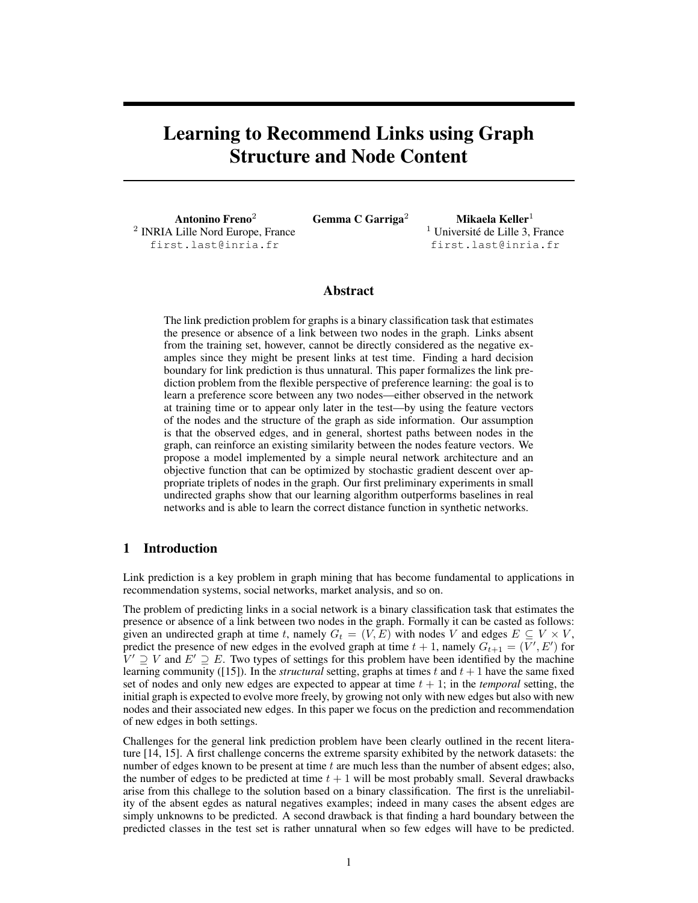# Learning to Recommend Links using Graph Structure and Node Content

Antonino Freno<sup>2</sup> 2 INRIA Lille Nord Europe, France first.last@inria.fr

Gemma C Garriga<sup>2</sup> Mikaela Keller<sup>1</sup>

 $<sup>1</sup>$  Université de Lille 3, France</sup> first.last@inria.fr

### Abstract

The link prediction problem for graphs is a binary classification task that estimates the presence or absence of a link between two nodes in the graph. Links absent from the training set, however, cannot be directly considered as the negative examples since they might be present links at test time. Finding a hard decision boundary for link prediction is thus unnatural. This paper formalizes the link prediction problem from the flexible perspective of preference learning: the goal is to learn a preference score between any two nodes—either observed in the network at training time or to appear only later in the test—by using the feature vectors of the nodes and the structure of the graph as side information. Our assumption is that the observed edges, and in general, shortest paths between nodes in the graph, can reinforce an existing similarity between the nodes feature vectors. We propose a model implemented by a simple neural network architecture and an objective function that can be optimized by stochastic gradient descent over appropriate triplets of nodes in the graph. Our first preliminary experiments in small undirected graphs show that our learning algorithm outperforms baselines in real networks and is able to learn the correct distance function in synthetic networks.

## 1 Introduction

Link prediction is a key problem in graph mining that has become fundamental to applications in recommendation systems, social networks, market analysis, and so on.

The problem of predicting links in a social network is a binary classification task that estimates the presence or absence of a link between two nodes in the graph. Formally it can be casted as follows: given an undirected graph at time t, namely  $G_t = (V, E)$  with nodes V and edges  $E \subseteq V \times V$ , predict the presence of new edges in the evolved graph at time  $t + 1$ , namely  $G_{t+1} = (V', E')$  for  $\bar{V}' \supseteq V$  and  $E' \supseteq E$ . Two types of settings for this problem have been identified by the machine learning community ( $[15]$ ). In the *structural* setting, graphs at times t and  $t + 1$  have the same fixed set of nodes and only new edges are expected to appear at time  $t + 1$ ; in the *temporal* setting, the initial graph is expected to evolve more freely, by growing not only with new edges but also with new nodes and their associated new edges. In this paper we focus on the prediction and recommendation of new edges in both settings.

Challenges for the general link prediction problem have been clearly outlined in the recent literature [14, 15]. A first challenge concerns the extreme sparsity exhibited by the network datasets: the number of edges known to be present at time  $t$  are much less than the number of absent edges; also, the number of edges to be predicted at time  $t + 1$  will be most probably small. Several drawbacks arise from this challege to the solution based on a binary classification. The first is the unreliability of the absent egdes as natural negatives examples; indeed in many cases the absent edges are simply unknowns to be predicted. A second drawback is that finding a hard boundary between the predicted classes in the test set is rather unnatural when so few edges will have to be predicted.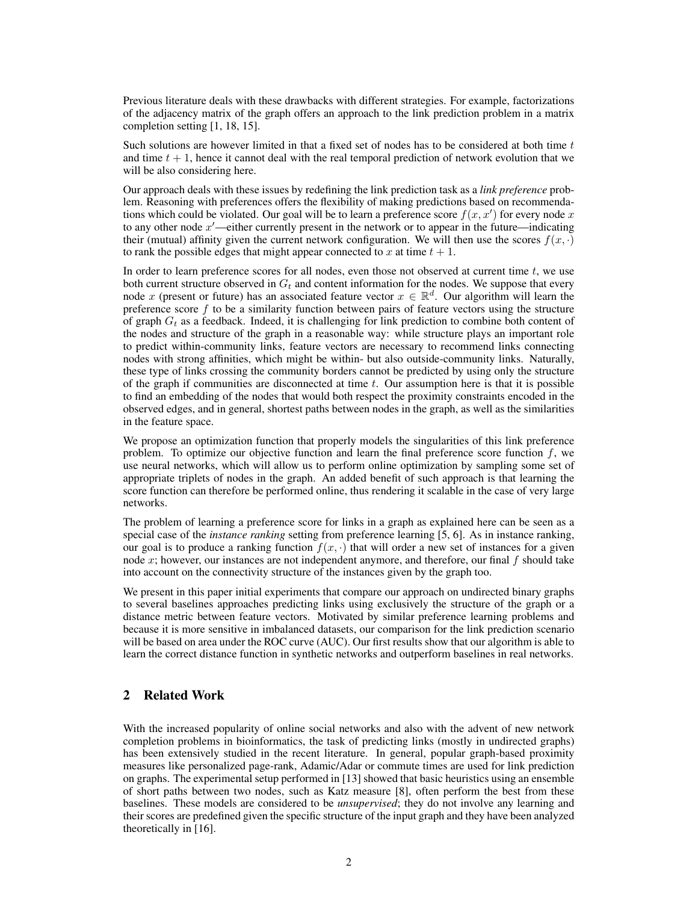Previous literature deals with these drawbacks with different strategies. For example, factorizations of the adjacency matrix of the graph offers an approach to the link prediction problem in a matrix completion setting [1, 18, 15].

Such solutions are however limited in that a fixed set of nodes has to be considered at both time  $t$ and time  $t + 1$ , hence it cannot deal with the real temporal prediction of network evolution that we will be also considering here.

Our approach deals with these issues by redefining the link prediction task as a *link preference* problem. Reasoning with preferences offers the flexibility of making predictions based on recommendations which could be violated. Our goal will be to learn a preference score  $f(x, x')$  for every node x to any other node  $x'$ —either currently present in the network or to appear in the future—indicating their (mutual) affinity given the current network configuration. We will then use the scores  $f(x, \cdot)$ to rank the possible edges that might appear connected to x at time  $t + 1$ .

In order to learn preference scores for all nodes, even those not observed at current time  $t$ , we use both current structure observed in  $G_t$  and content information for the nodes. We suppose that every node x (present or future) has an associated feature vector  $x \in \mathbb{R}^d$ . Our algorithm will learn the preference score  $f$  to be a similarity function between pairs of feature vectors using the structure of graph  $G_t$  as a feedback. Indeed, it is challenging for link prediction to combine both content of the nodes and structure of the graph in a reasonable way: while structure plays an important role to predict within-community links, feature vectors are necessary to recommend links connecting nodes with strong affinities, which might be within- but also outside-community links. Naturally, these type of links crossing the community borders cannot be predicted by using only the structure of the graph if communities are disconnected at time  $t$ . Our assumption here is that it is possible to find an embedding of the nodes that would both respect the proximity constraints encoded in the observed edges, and in general, shortest paths between nodes in the graph, as well as the similarities in the feature space.

We propose an optimization function that properly models the singularities of this link preference problem. To optimize our objective function and learn the final preference score function  $f$ , we use neural networks, which will allow us to perform online optimization by sampling some set of appropriate triplets of nodes in the graph. An added benefit of such approach is that learning the score function can therefore be performed online, thus rendering it scalable in the case of very large networks.

The problem of learning a preference score for links in a graph as explained here can be seen as a special case of the *instance ranking* setting from preference learning [5, 6]. As in instance ranking, our goal is to produce a ranking function  $f(x, \cdot)$  that will order a new set of instances for a given node x; however, our instances are not independent anymore, and therefore, our final  $f$  should take into account on the connectivity structure of the instances given by the graph too.

We present in this paper initial experiments that compare our approach on undirected binary graphs to several baselines approaches predicting links using exclusively the structure of the graph or a distance metric between feature vectors. Motivated by similar preference learning problems and because it is more sensitive in imbalanced datasets, our comparison for the link prediction scenario will be based on area under the ROC curve (AUC). Our first results show that our algorithm is able to learn the correct distance function in synthetic networks and outperform baselines in real networks.

# 2 Related Work

With the increased popularity of online social networks and also with the advent of new network completion problems in bioinformatics, the task of predicting links (mostly in undirected graphs) has been extensively studied in the recent literature. In general, popular graph-based proximity measures like personalized page-rank, Adamic/Adar or commute times are used for link prediction on graphs. The experimental setup performed in [13] showed that basic heuristics using an ensemble of short paths between two nodes, such as Katz measure [8], often perform the best from these baselines. These models are considered to be *unsupervised*; they do not involve any learning and their scores are predefined given the specific structure of the input graph and they have been analyzed theoretically in [16].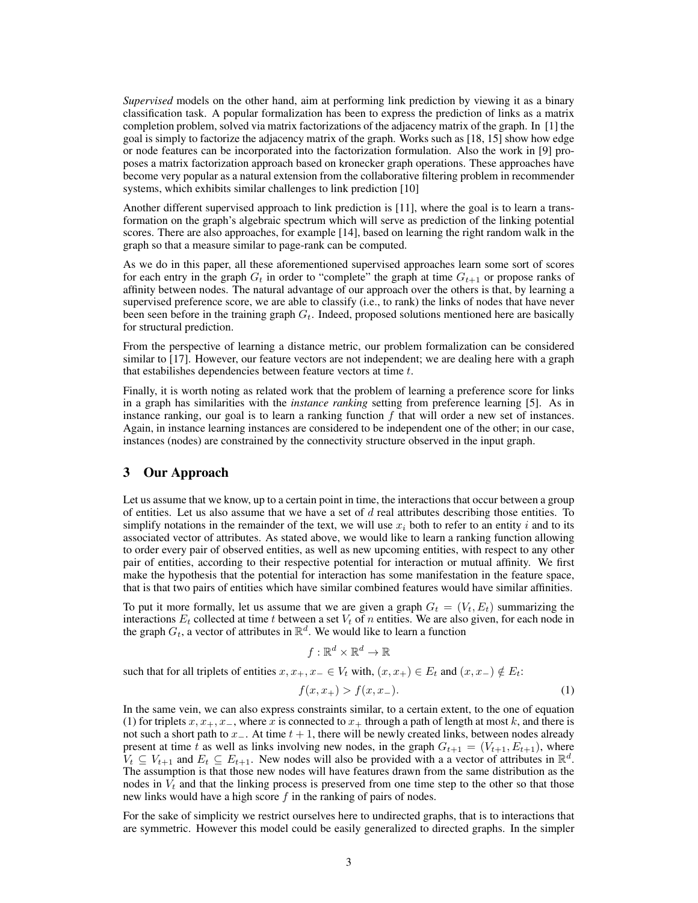*Supervised* models on the other hand, aim at performing link prediction by viewing it as a binary classification task. A popular formalization has been to express the prediction of links as a matrix completion problem, solved via matrix factorizations of the adjacency matrix of the graph. In [1] the goal is simply to factorize the adjacency matrix of the graph. Works such as [18, 15] show how edge or node features can be incorporated into the factorization formulation. Also the work in [9] proposes a matrix factorization approach based on kronecker graph operations. These approaches have become very popular as a natural extension from the collaborative filtering problem in recommender systems, which exhibits similar challenges to link prediction [10]

Another different supervised approach to link prediction is [11], where the goal is to learn a transformation on the graph's algebraic spectrum which will serve as prediction of the linking potential scores. There are also approaches, for example [14], based on learning the right random walk in the graph so that a measure similar to page-rank can be computed.

As we do in this paper, all these aforementioned supervised approaches learn some sort of scores for each entry in the graph  $G_t$  in order to "complete" the graph at time  $G_{t+1}$  or propose ranks of affinity between nodes. The natural advantage of our approach over the others is that, by learning a supervised preference score, we are able to classify (i.e., to rank) the links of nodes that have never been seen before in the training graph  $G_t$ . Indeed, proposed solutions mentioned here are basically for structural prediction.

From the perspective of learning a distance metric, our problem formalization can be considered similar to [17]. However, our feature vectors are not independent; we are dealing here with a graph that estabilishes dependencies between feature vectors at time t.

Finally, it is worth noting as related work that the problem of learning a preference score for links in a graph has similarities with the *instance ranking* setting from preference learning [5]. As in instance ranking, our goal is to learn a ranking function  $f$  that will order a new set of instances. Again, in instance learning instances are considered to be independent one of the other; in our case, instances (nodes) are constrained by the connectivity structure observed in the input graph.

### 3 Our Approach

Let us assume that we know, up to a certain point in time, the interactions that occur between a group of entities. Let us also assume that we have a set of  $d$  real attributes describing those entities. To simplify notations in the remainder of the text, we will use  $x_i$  both to refer to an entity i and to its associated vector of attributes. As stated above, we would like to learn a ranking function allowing to order every pair of observed entities, as well as new upcoming entities, with respect to any other pair of entities, according to their respective potential for interaction or mutual affinity. We first make the hypothesis that the potential for interaction has some manifestation in the feature space, that is that two pairs of entities which have similar combined features would have similar affinities.

To put it more formally, let us assume that we are given a graph  $G_t = (V_t, E_t)$  summarizing the interactions  $E_t$  collected at time t between a set  $V_t$  of n entities. We are also given, for each node in the graph  $G_t$ , a vector of attributes in  $\mathbb{R}^d$ . We would like to learn a function

 $f: \mathbb{R}^d \times \mathbb{R}^d \rightarrow \mathbb{R}$ 

such that for all triplets of entities  $x, x_+, x_- \in V_t$  with,  $(x, x_+) \in E_t$  and  $(x, x_-) \notin E_t$ :

$$
f(x, x_{+}) > f(x, x_{-}).
$$
\n(1)

In the same vein, we can also express constraints similar, to a certain extent, to the one of equation (1) for triplets  $x, x_+, x_-,$  where x is connected to  $x_+$  through a path of length at most k, and there is not such a short path to  $x_$ . At time  $t + 1$ , there will be newly created links, between nodes already present at time t as well as links involving new nodes, in the graph  $G_{t+1} = (V_{t+1}, E_{t+1})$ , where  $V_t \subseteq V_{t+1}$  and  $E_t \subseteq E_{t+1}$ . New nodes will also be provided with a a vector of attributes in  $\mathbb{R}^d$ . The assumption is that those new nodes will have features drawn from the same distribution as the nodes in  $V_t$  and that the linking process is preserved from one time step to the other so that those new links would have a high score  $f$  in the ranking of pairs of nodes.

For the sake of simplicity we restrict ourselves here to undirected graphs, that is to interactions that are symmetric. However this model could be easily generalized to directed graphs. In the simpler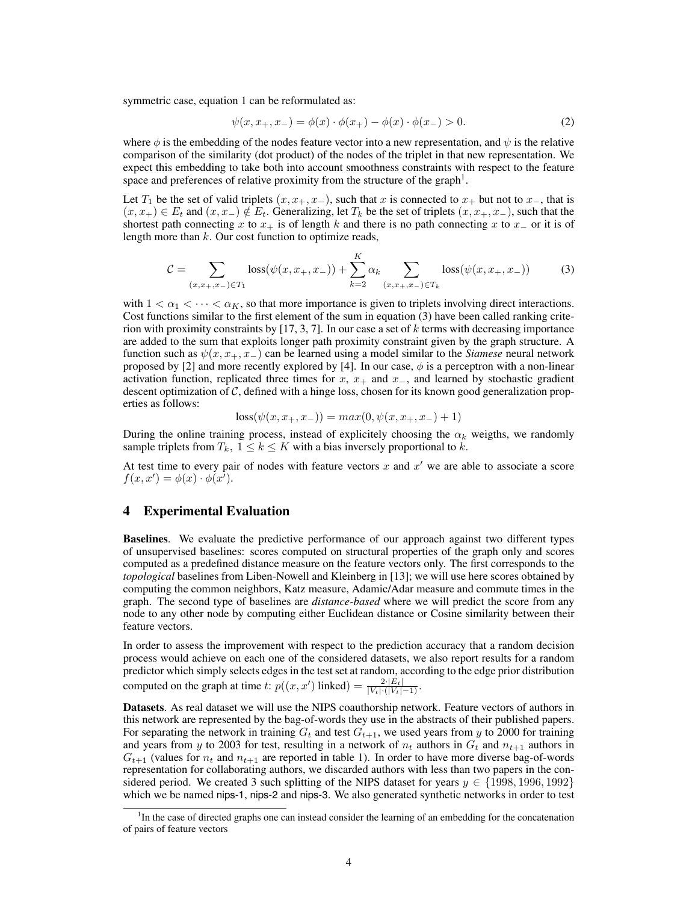symmetric case, equation 1 can be reformulated as:

$$
\psi(x, x_+, x_-) = \phi(x) \cdot \phi(x_+) - \phi(x) \cdot \phi(x_-) > 0. \tag{2}
$$

where  $\phi$  is the embedding of the nodes feature vector into a new representation, and  $\psi$  is the relative comparison of the similarity (dot product) of the nodes of the triplet in that new representation. We expect this embedding to take both into account smoothness constraints with respect to the feature space and preferences of relative proximity from the structure of the graph<sup>1</sup>.

Let  $T_1$  be the set of valid triplets  $(x, x_+, x_-)$ , such that x is connected to  $x_+$  but not to  $x_-$ , that is  $(x, x_+) \in E_t$  and  $(x, x_-) \notin E_t$ . Generalizing, let  $T_k$  be the set of triplets  $(x, x_+, x_-)$ , such that the shortest path connecting x to  $x_+$  is of length k and there is no path connecting x to  $x_$ or it is of length more than  $k$ . Our cost function to optimize reads,

$$
C = \sum_{(x,x_+,x_-) \in T_1} \text{loss}(\psi(x,x_+,x_-)) + \sum_{k=2}^K \alpha_k \sum_{(x,x_+,x_-) \in T_k} \text{loss}(\psi(x,x_+,x_-)) \tag{3}
$$

with  $1 < \alpha_1 < \cdots < \alpha_K$ , so that more importance is given to triplets involving direct interactions. Cost functions similar to the first element of the sum in equation (3) have been called ranking criterion with proximity constraints by  $[17, 3, 7]$ . In our case a set of k terms with decreasing importance are added to the sum that exploits longer path proximity constraint given by the graph structure. A function such as  $\psi(x, x_+, x_-)$  can be learned using a model similar to the *Siamese* neural network proposed by [2] and more recently explored by [4]. In our case,  $\phi$  is a perceptron with a non-linear activation function, replicated three times for  $x$ ,  $x_+$  and  $x_-$ , and learned by stochastic gradient descent optimization of C, defined with a hinge loss, chosen for its known good generalization properties as follows:

$$
loss(\psi(x, x_+, x_-)) = max(0, \psi(x, x_+, x_-) + 1)
$$

During the online training process, instead of explicitely choosing the  $\alpha_k$  weigths, we randomly sample triplets from  $T_k$ ,  $1 \leq k \leq K$  with a bias inversely proportional to k.

At test time to every pair of nodes with feature vectors  $x$  and  $x'$  we are able to associate a score  $f(x, x') = \phi(x) \cdot \phi(x).$ 

#### 4 Experimental Evaluation

Baselines. We evaluate the predictive performance of our approach against two different types of unsupervised baselines: scores computed on structural properties of the graph only and scores computed as a predefined distance measure on the feature vectors only. The first corresponds to the *topological* baselines from Liben-Nowell and Kleinberg in [13]; we will use here scores obtained by computing the common neighbors, Katz measure, Adamic/Adar measure and commute times in the graph. The second type of baselines are *distance-based* where we will predict the score from any node to any other node by computing either Euclidean distance or Cosine similarity between their feature vectors.

In order to assess the improvement with respect to the prediction accuracy that a random decision process would achieve on each one of the considered datasets, we also report results for a random predictor which simply selects edges in the test set at random, according to the edge prior distribution computed on the graph at time t:  $p((x, x'))$  linked) =  $\frac{2 \cdot |E_t|}{|V_t| \cdot (|V_t| - 1)}$ .

Datasets. As real dataset we will use the NIPS coauthorship network. Feature vectors of authors in this network are represented by the bag-of-words they use in the abstracts of their published papers. For separating the network in training  $G_t$  and test  $G_{t+1}$ , we used years from y to 2000 for training and years from y to 2003 for test, resulting in a network of  $n_t$  authors in  $G_t$  and  $n_{t+1}$  authors in  $G_{t+1}$  (values for  $n_t$  and  $n_{t+1}$  are reported in table 1). In order to have more diverse bag-of-words representation for collaborating authors, we discarded authors with less than two papers in the considered period. We created 3 such splitting of the NIPS dataset for years  $y \in \{1998, 1996, 1992\}$ which we be named nips-1, nips-2 and nips-3. We also generated synthetic networks in order to test

<sup>&</sup>lt;sup>1</sup>In the case of directed graphs one can instead consider the learning of an embedding for the concatenation of pairs of feature vectors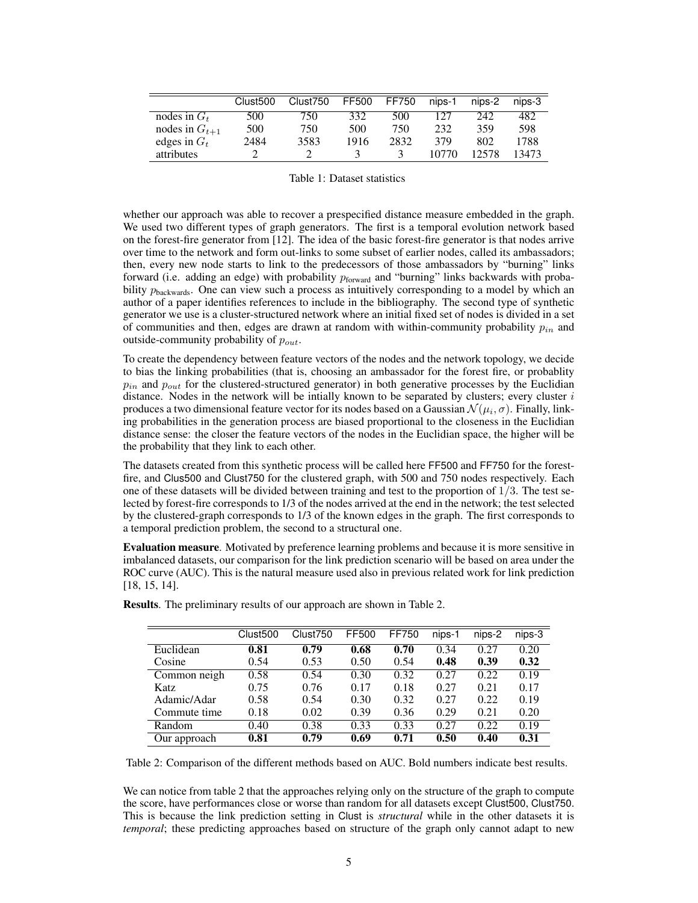|                    | Clust <sub>500</sub> | Clust <sub>750</sub> | FF500 | FF750 | nips-1 | nips-2 | nips-3 |
|--------------------|----------------------|----------------------|-------|-------|--------|--------|--------|
| nodes in $G_t$     | 500                  | 750                  | 332   | 500   | 127    | 242    | 482    |
| nodes in $G_{t+1}$ | 500                  | 750                  | 500   | 750   | 232    | 359    | 598    |
| edges in $G_t$     | 2484                 | 3583                 | 1916  | 2832  | 379    | 802    | 1788   |
| attributes         |                      |                      |       |       | 10770  | 12578  | 13473  |

Table 1: Dataset statistics

whether our approach was able to recover a prespecified distance measure embedded in the graph. We used two different types of graph generators. The first is a temporal evolution network based on the forest-fire generator from [12]. The idea of the basic forest-fire generator is that nodes arrive over time to the network and form out-links to some subset of earlier nodes, called its ambassadors; then, every new node starts to link to the predecessors of those ambassadors by "burning" links forward (i.e. adding an edge) with probability  $p_{forward}$  and "burning" links backwards with probability  $p_{\text{backwards}}$ . One can view such a process as intuitively corresponding to a model by which an author of a paper identifies references to include in the bibliography. The second type of synthetic generator we use is a cluster-structured network where an initial fixed set of nodes is divided in a set of communities and then, edges are drawn at random with within-community probability  $p_{in}$  and outside-community probability of  $p_{out}$ .

To create the dependency between feature vectors of the nodes and the network topology, we decide to bias the linking probabilities (that is, choosing an ambassador for the forest fire, or probablity  $p_{in}$  and  $p_{out}$  for the clustered-structured generator) in both generative processes by the Euclidian distance. Nodes in the network will be initially known to be separated by clusters; every cluster  $i$ produces a two dimensional feature vector for its nodes based on a Gaussian  $\mathcal{N}(\mu_i, \sigma).$  Finally, linking probabilities in the generation process are biased proportional to the closeness in the Euclidian distance sense: the closer the feature vectors of the nodes in the Euclidian space, the higher will be the probability that they link to each other.

The datasets created from this synthetic process will be called here FF500 and FF750 for the forestfire, and Clus500 and Clust750 for the clustered graph, with 500 and 750 nodes respectively. Each one of these datasets will be divided between training and test to the proportion of  $1/3$ . The test selected by forest-fire corresponds to 1/3 of the nodes arrived at the end in the network; the test selected by the clustered-graph corresponds to 1/3 of the known edges in the graph. The first corresponds to a temporal prediction problem, the second to a structural one.

Evaluation measure. Motivated by preference learning problems and because it is more sensitive in imbalanced datasets, our comparison for the link prediction scenario will be based on area under the ROC curve (AUC). This is the natural measure used also in previous related work for link prediction [18, 15, 14].

|              | Clust <sub>500</sub> | Clust <sub>750</sub> | FF500 | FF750 | nips-1 | nips-2 | nips-3 |
|--------------|----------------------|----------------------|-------|-------|--------|--------|--------|
| Euclidean    | 0.81                 | 0.79                 | 0.68  | 0.70  | 0.34   | 0.27   | 0.20   |
| Cosine       | 0.54                 | 0.53                 | 0.50  | 0.54  | 0.48   | 0.39   | 0.32   |
| Common neigh | 0.58                 | 0.54                 | 0.30  | 0.32  | 0.27   | 0.22   | 0.19   |
| Katz         | 0.75                 | 0.76                 | 0.17  | 0.18  | 0.27   | 0.21   | 0.17   |
| Adamic/Adar  | 0.58                 | 0.54                 | 0.30  | 0.32  | 0.27   | 0.22   | 0.19   |
| Commute time | 0.18                 | 0.02                 | 0.39  | 0.36  | 0.29   | 0.21   | 0.20   |
| Random       | 0.40                 | 0.38                 | 0.33  | 0.33  | 0.27   | 0.22   | 0.19   |
| Our approach | 0.81                 | 0.79                 | 0.69  | 0.71  | 0.50   | 0.40   | 0.31   |

Results. The preliminary results of our approach are shown in Table 2.

Table 2: Comparison of the different methods based on AUC. Bold numbers indicate best results.

We can notice from table 2 that the approaches relying only on the structure of the graph to compute the score, have performances close or worse than random for all datasets except Clust500, Clust750. This is because the link prediction setting in Clust is *structural* while in the other datasets it is *temporal*; these predicting approaches based on structure of the graph only cannot adapt to new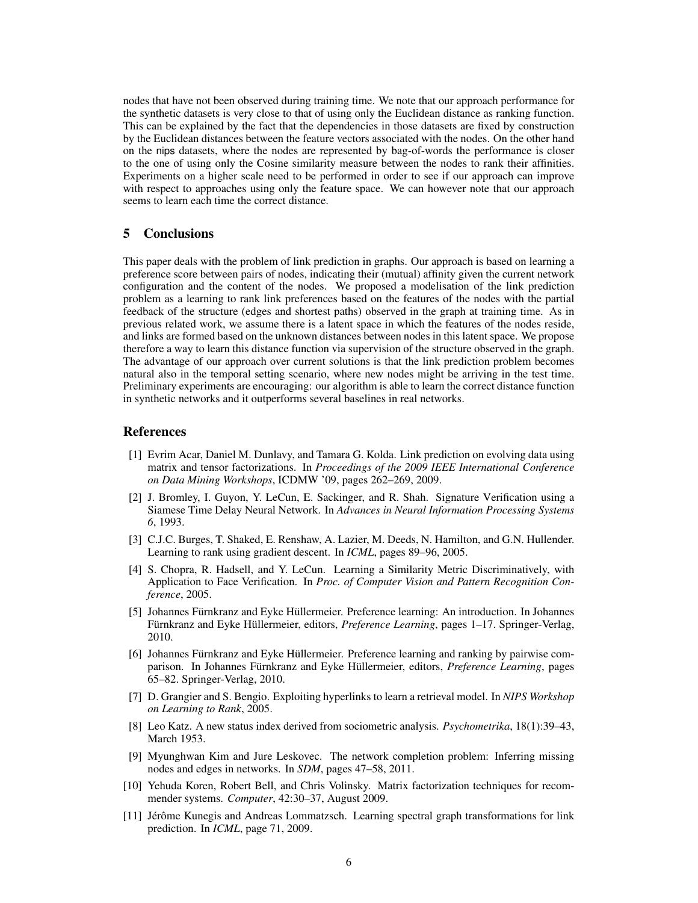nodes that have not been observed during training time. We note that our approach performance for the synthetic datasets is very close to that of using only the Euclidean distance as ranking function. This can be explained by the fact that the dependencies in those datasets are fixed by construction by the Euclidean distances between the feature vectors associated with the nodes. On the other hand on the nips datasets, where the nodes are represented by bag-of-words the performance is closer to the one of using only the Cosine similarity measure between the nodes to rank their affinities. Experiments on a higher scale need to be performed in order to see if our approach can improve with respect to approaches using only the feature space. We can however note that our approach seems to learn each time the correct distance.

## 5 Conclusions

This paper deals with the problem of link prediction in graphs. Our approach is based on learning a preference score between pairs of nodes, indicating their (mutual) affinity given the current network configuration and the content of the nodes. We proposed a modelisation of the link prediction problem as a learning to rank link preferences based on the features of the nodes with the partial feedback of the structure (edges and shortest paths) observed in the graph at training time. As in previous related work, we assume there is a latent space in which the features of the nodes reside, and links are formed based on the unknown distances between nodes in this latent space. We propose therefore a way to learn this distance function via supervision of the structure observed in the graph. The advantage of our approach over current solutions is that the link prediction problem becomes natural also in the temporal setting scenario, where new nodes might be arriving in the test time. Preliminary experiments are encouraging: our algorithm is able to learn the correct distance function in synthetic networks and it outperforms several baselines in real networks.

### References

- [1] Evrim Acar, Daniel M. Dunlavy, and Tamara G. Kolda. Link prediction on evolving data using matrix and tensor factorizations. In *Proceedings of the 2009 IEEE International Conference on Data Mining Workshops*, ICDMW '09, pages 262–269, 2009.
- [2] J. Bromley, I. Guyon, Y. LeCun, E. Sackinger, and R. Shah. Signature Verification using a Siamese Time Delay Neural Network. In *Advances in Neural Information Processing Systems 6*, 1993.
- [3] C.J.C. Burges, T. Shaked, E. Renshaw, A. Lazier, M. Deeds, N. Hamilton, and G.N. Hullender. Learning to rank using gradient descent. In *ICML*, pages 89–96, 2005.
- [4] S. Chopra, R. Hadsell, and Y. LeCun. Learning a Similarity Metric Discriminatively, with Application to Face Verification. In *Proc. of Computer Vision and Pattern Recognition Conference*, 2005.
- [5] Johannes Fürnkranz and Eyke Hüllermeier. Preference learning: An introduction. In Johannes Fürnkranz and Eyke Hüllermeier, editors, *Preference Learning*, pages 1–17. Springer-Verlag, 2010.
- [6] Johannes Fürnkranz and Eyke Hüllermeier. Preference learning and ranking by pairwise comparison. In Johannes Fürnkranz and Eyke Hüllermeier, editors, *Preference Learning*, pages 65–82. Springer-Verlag, 2010.
- [7] D. Grangier and S. Bengio. Exploiting hyperlinks to learn a retrieval model. In *NIPS Workshop on Learning to Rank*, 2005.
- [8] Leo Katz. A new status index derived from sociometric analysis. *Psychometrika*, 18(1):39–43, March 1953.
- [9] Myunghwan Kim and Jure Leskovec. The network completion problem: Inferring missing nodes and edges in networks. In *SDM*, pages 47–58, 2011.
- [10] Yehuda Koren, Robert Bell, and Chris Volinsky. Matrix factorization techniques for recommender systems. *Computer*, 42:30–37, August 2009.
- [11] Jérôme Kunegis and Andreas Lommatzsch. Learning spectral graph transformations for link prediction. In *ICML*, page 71, 2009.